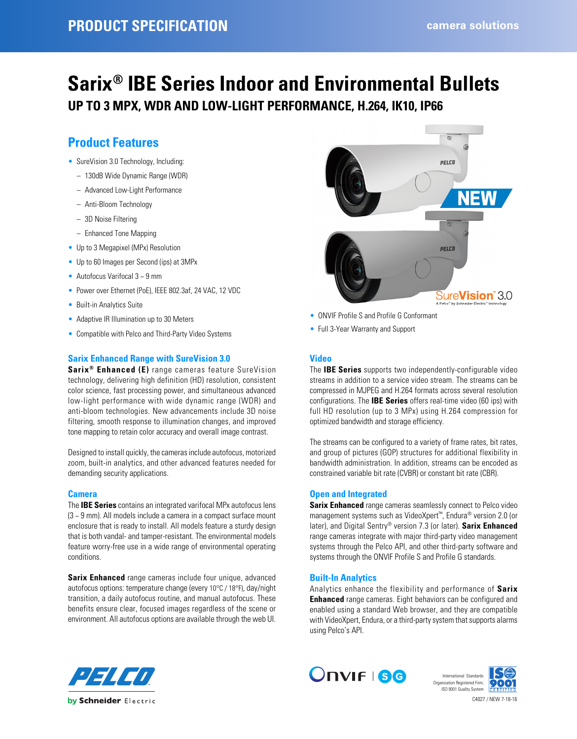# **Sarix® IBE Series Indoor and Environmental Bullets**

**UP TO 3 MPX, WDR AND LOW-LIGHT PERFORMANCE, H.264, IK10, IP66**

# **Product Features**

- SureVision 3.0 Technology, Including:
	- 130dB Wide Dynamic Range (WDR)
	- Advanced Low-Light Performance
	- Anti-Bloom Technology
	- 3D Noise Filtering
	- Enhanced Tone Mapping
- Up to 3 Megapixel (MPx) Resolution
- Up to 60 Images per Second (ips) at 3MPx
- Autofocus Varifocal 3 ~ 9 mm
- Power over Ethernet (PoE), IEEE 802.3af, 24 VAC, 12 VDC
- Built-in Analytics Suite
- Adaptive IR Illumination up to 30 Meters
- Compatible with Pelco and Third-Party Video Systems

# **Sarix Enhanced Range with SureVision 3.0**

**Sarix® Enhanced (E)** range cameras feature SureVision technology, delivering high definition (HD) resolution, consistent color science, fast processing power, and simultaneous advanced low-light performance with wide dynamic range (WDR) and anti-bloom technologies. New advancements include 3D noise filtering, smooth response to illumination changes, and improved tone mapping to retain color accuracy and overall image contrast.

Designed to install quickly, the cameras include autofocus, motorized zoom, built-in analytics, and other advanced features needed for demanding security applications.

# **Camera**

The **IBE Series** contains an integrated varifocal MPx autofocus lens (3 ~ 9 mm). All models include a camera in a compact surface mount enclosure that is ready to install. All models feature a sturdy design that is both vandal- and tamper-resistant. The environmental models feature worry-free use in a wide range of environmental operating conditions.

**Sarix Enhanced** range cameras include four unique, advanced autofocus options: temperature change (every 10°C / 18°F), day/night transition, a daily autofocus routine, and manual autofocus. These benefits ensure clear, focused images regardless of the scene or environment. All autofocus options are available through the web UI.



- ONVIF Profile S and Profile G Conformant
- Full 3-Year Warranty and Support

# **Video**

The **IBE Series** supports two independently-configurable video streams in addition to a service video stream. The streams can be compressed in MJPEG and H.264 formats across several resolution configurations. The **IBE Series** offers real-time video (60 ips) with full HD resolution (up to 3 MPx) using H.264 compression for optimized bandwidth and storage efficiency.

The streams can be configured to a variety of frame rates, bit rates, and group of pictures (GOP) structures for additional flexibility in bandwidth administration. In addition, streams can be encoded as constrained variable bit rate (CVBR) or constant bit rate (CBR).

# **Open and Integrated**

**Sarix Enhanced** range cameras seamlessly connect to Pelco video management systems such as VideoXpert™, Endura® version 2.0 (or later), and Digital Sentry® version 7.3 (or later). **Sarix Enhanced** range cameras integrate with major third-party video management systems through the Pelco API, and other third-party software and systems through the ONVIF Profile S and Profile G standards.

# **Built-In Analytics**

Analytics enhance the flexibility and performance of **Sarix Enhanced** range cameras. Eight behaviors can be configured and enabled using a standard Web browser, and they are compatible with VideoXpert, Endura, or a third-party system that supports alarms using Pelco's API.





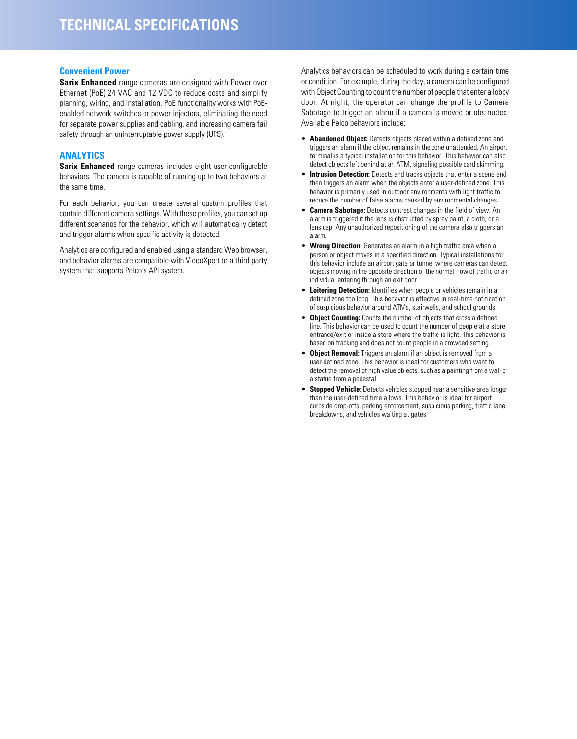## **Convenient Power**

**Sarix Enhanced** range cameras are designed with Power over Ethernet (PoE) 24 VAC and 12 VDC to reduce costs and simplify planning, wiring, and installation. PoE functionality works with PoEenabled network switches or power injectors, eliminating the need for separate power supplies and cabling, and increasing camera fail safety through an uninterruptable power supply (UPS).

# **ANALYTICS**

**Sarix Enhanced** range cameras includes eight user-configurable behaviors. The camera is capable of running up to two behaviors at the same time.

For each behavior, you can create several custom profiles that contain different camera settings. With these profiles, you can set up different scenarios for the behavior, which will automatically detect and trigger alarms when specific activity is detected.

Analytics are configured and enabled using a standard Web browser, and behavior alarms are compatible with VideoXpert or a third-party system that supports Pelco's API system.

Analytics behaviors can be scheduled to work during a certain time or condition. For example, during the day, a camera can be configured with Object Counting to count the number of people that enter a lobby door. At night, the operator can change the profile to Camera Sabotage to trigger an alarm if a camera is moved or obstructed. Available Pelco behaviors include:

- **Abandoned Object:** Detects objects placed within a defined zone and triggers an alarm if the object remains in the zone unattended. An airport terminal is a typical installation for this behavior. This behavior can also detect objects left behind at an ATM, signaling possible card skimming.
- **Intrusion Detection:** Detects and tracks objects that enter a scene and then triggers an alarm when the objects enter a user-defined zone. This behavior is primarily used in outdoor environments with light traffic to reduce the number of false alarms caused by environmental changes.
- **Camera Sabotage:** Detects contrast changes in the field of view. An alarm is triggered if the lens is obstructed by spray paint, a cloth, or a lens cap. Any unauthorized repositioning of the camera also triggers an alarm.
- **Wrong Direction:** Generates an alarm in a high traffic area when a person or object moves in a specified direction. Typical installations for this behavior include an airport gate or tunnel where cameras can detect objects moving in the opposite direction of the normal flow of traffic or an individual entering through an exit door.
- **Loitering Detection:** Identifies when people or vehicles remain in a defined zone too long. This behavior is effective in real-time notification of suspicious behavior around ATMs, stairwells, and school grounds.
- **Object Counting:** Counts the number of objects that cross a defined line. This behavior can be used to count the number of people at a store entrance/exit or inside a store where the traffic is light. This behavior is based on tracking and does not count people in a crowded setting.
- **Object Removal:** Triggers an alarm if an object is removed from a user-defined zone. This behavior is ideal for customers who want to detect the removal of high value objects, such as a painting from a wall or a statue from a pedestal.
- **Stopped Vehicle:** Detects vehicles stopped near a sensitive area longer than the user-defined time allows. This behavior is ideal for airport curbside drop-offs, parking enforcement, suspicious parking, traffic lane breakdowns, and vehicles waiting at gates.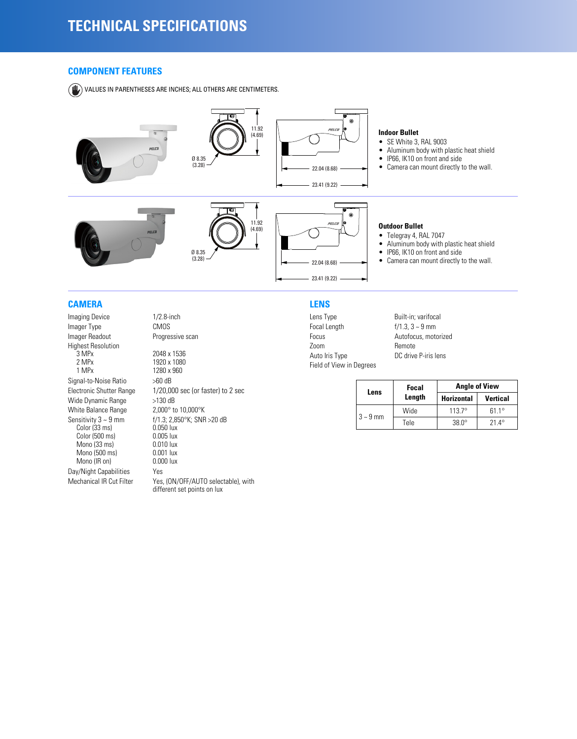# **COMPONENT FEATURES**

VALUES IN PARENTHESES ARE INCHES; ALL OTHERS ARE CENTIMETERS.



# **CAMERA**

Imaging Device 1/2.8-inch Imager Type CMOS<br>
Imager Readout Progres Highest Resolution<br>3 MPx  $\frac{3}{3}$  MPx 2048 x 1536<br>2 MPx 1920 x 1080 2 MPx 1920 x 1080<br>1 MPx 1280 x 960 Signal-to-Noise Ratio Wide Dynamic Range >130 dB White Balance Range 2,000° to 10,000°K Sensitivity  $3 \sim 9$  mm<br>
Color (33 ms) 0.050 lux<br>
Color (500 ms) 0.005 lux Color (500 ms) 0.005 lux<br>
Mono (33 ms) 0.010 lux Mono (33 ms) 0.010 lux<br>Mono (500 ms) 0.001 lux Mono (500 ms) 0.001 lux<br>Mono (IR on) 0.000 lux Mono (IR on) Day/Night Capabilities Yes Mechanical IR Cut Filter Yes, (ON/OFF/AUTO selectable), with

Progressive scan 1280 x 960<br>>60 dB Electronic Shutter Range 1/20,000 sec (or faster) to 2 sec f/1.3; 2,850°K; SNR >20 dB<br>0.050 lux

different set points on lux

# **LENS**

Lens Type Built-in; varifocal Focal Length  $f/1.3, 3 \sim 9$  mm Focus **Autofocus, motorized**<br>Zoom Remote Auto Iris Type DC drive P-iris lens Field of View in Degrees

Remote

| Lens          | Focal  | <b>Angle of View</b> |                 |  |
|---------------|--------|----------------------|-----------------|--|
|               | Length | <b>Horizontal</b>    | <b>Vertical</b> |  |
| $3 \sim 9$ mm | Wide   | $1137^{\circ}$       | $611^\circ$     |  |
|               | Tele   | $380^\circ$          | 21 4°           |  |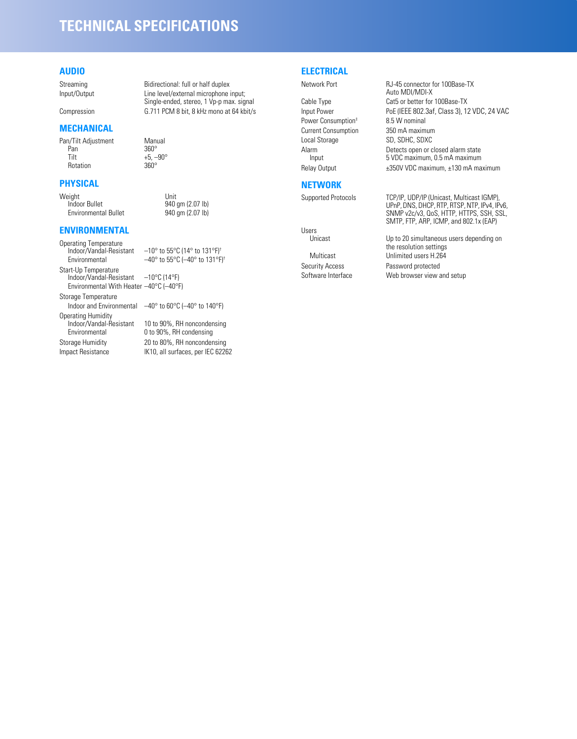# **TECHNICAL SPECIFICATIONS**

# **AUDIO**

# **MECHANICAL**

Pan/Tilt Adjustment Manual<br>Pan 360° Pan  $360^\circ$ <br>Tilt  $+5$  -Rotation

# **PHYSICAL**

Weight Unit Environmental Bullet

**ENVIRONMENTAL**

Operating Temperature<br>Indoor/Vandal-Resistant Indoor/Vandal-Resistant –10° to 55°C (14° to 131°F)† Start-Up Temperature Indoor/Vandal-Resistant –10°C (14°F) Environmental With Heater –40°C (–40°F)

Storage Temperature Operating Humidity<br>Indoor/Vandal-Resistant Indoor/Vandal-Resistant 10 to 90%, RH noncondensing<br>Environmental 0 to 90%, RH condensing

Streaming Bidirectional: full or half duplex Input/Output Line level/external microphone input; Single-ended, stereo, 1 Vp-p max. signal Compression G.711 PCM 8 bit, 8 kHz mono at 64 kbit/s

 $+5, -90^{\circ}$ <br>360°

940 gm (2.07 lb)<br>940 gm (2.07 lb)

 $-40^{\circ}$  to 55°C ( $-40^{\circ}$  to 131°F)<sup>+</sup>

Indoor and Environmental –40° to 60°C (–40° to 140°F)

0 to 90%, RH condensing Storage Humidity 20 to 80%, RH noncondensing Impact Resistance IK10, all surfaces, per IEC 62262 **ELECTRICAL**

Power Consumption<sup>†</sup> 8.5 W nominal<br>Current Consumption 350 mA maximum **Current Consumption** Local Storage SD, SDHC, SDXC

# **NETWORK**

Users<br>Unicast

Network Port RJ-45 connector for 100Base-TX Auto MDI/MDI-X Cable Type Cat5 or better for 100Base-TX Input Power PoE (IEEE 802.3af, Class 3), 12 VDC, 24 VAC Alarm Detects open or closed alarm state<br>Input 5 VDC maximum, 0.5 mA maximum 5 VDC maximum, 0.5 mA maximum Relay Output  $\pm$ 350V VDC maximum,  $\pm$ 130 mA maximum

Supported Protocols TCP/IP, UDP/IP (Unicast, Multicast IGMP), UPnP, DNS, DHCP, RTP, RTSP, NTP, IPv4, IPv6, SNMP v2c/v3, QoS, HTTP, HTTPS, SSH, SSL, SMTP, FTP, ARP, ICMP, and 802.1x (EAP)

Up to 20 simultaneous users depending on the resolution settings Multicast Unlimited users H.264 Security Access Password protected Software Interface Web browser view and setup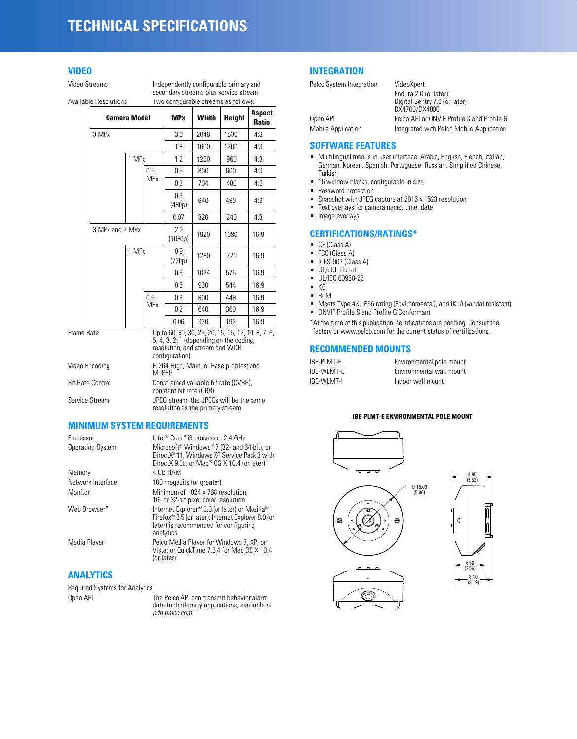# **TECHNICAL SPECIFICATIONS**

# **VIDEO**

Video Streams **Independently configurable primary and** secondary streams plus service stream Available Resolutions Two configurable streams as follows:

|                                                                                                                                                                                                                                | <b>Camera Model</b> |       |                       | <b>MP</b> <sub>x</sub> | Width | Height | Aspect<br>Ratio |
|--------------------------------------------------------------------------------------------------------------------------------------------------------------------------------------------------------------------------------|---------------------|-------|-----------------------|------------------------|-------|--------|-----------------|
|                                                                                                                                                                                                                                | 3 MPx               |       |                       | 3.0                    | 2048  | 1536   | 4:3             |
|                                                                                                                                                                                                                                |                     |       |                       | 1.8                    | 1600  | 1200   | 4:3             |
|                                                                                                                                                                                                                                |                     | 1 MPx |                       | 1.2                    | 1280  | 960    | 4:3             |
|                                                                                                                                                                                                                                |                     |       | 0.5                   | 0.5                    | 800   | 600    | 4:3             |
|                                                                                                                                                                                                                                |                     |       | <b>MPx</b>            | 0.3                    | 704   | 480    | 4:3             |
|                                                                                                                                                                                                                                |                     |       |                       | 0.3<br>(480p)          | 640   | 480    | 4:3             |
|                                                                                                                                                                                                                                |                     |       |                       | 0.07                   | 320   | 240    | 4:3             |
|                                                                                                                                                                                                                                | 3 MPx and 2 MPx     |       | 2.0<br>(1080p)        | 1920                   | 1080  | 16:9   |                 |
|                                                                                                                                                                                                                                |                     | 1 MPx |                       | 0.9<br>(720p)          | 1280  | 720    | 16:9            |
|                                                                                                                                                                                                                                |                     |       |                       | 0.6                    | 1024  | 576    | 16:9            |
|                                                                                                                                                                                                                                |                     |       |                       | 0.5                    | 960   | 544    | 16:9            |
|                                                                                                                                                                                                                                |                     |       | 0.5                   | 0.3                    | 800   | 448    | 16:9            |
|                                                                                                                                                                                                                                |                     |       | <b>MP<sub>x</sub></b> | 0.2                    | 640   | 360    | 16:9            |
|                                                                                                                                                                                                                                |                     |       |                       | 0.06                   | 320   | 192    | 16:9            |
| Frame Rate<br>Up to 60, 50, 30, 25, 20, 16, 15, 12, 10, 8, 7, 6,<br>$5, 4, 3, 2, 1$ (depending on the coding,<br>resolution, and stream and WDR<br>configuration)<br>Video Encoding<br>H.264 High, Main, or Base profiles; and |                     |       |                       |                        |       |        |                 |
|                                                                                                                                                                                                                                |                     |       |                       |                        |       |        |                 |

| Video Encoding          | H.264 High, Main, or Base profiles: and<br>MJPEG                            |
|-------------------------|-----------------------------------------------------------------------------|
| <b>Bit Rate Control</b> | Constrained variable bit rate (CVBR).<br>constant bit rate (CBR)            |
| Service Stream          | JPEG stream: the JPEGs will be the same<br>resolution as the primary stream |

# **MINIMUM SYSTEM REQUIREMENTS**

| Processor                 | Intel <sup>®</sup> Core <sup>™</sup> i3 processor, 2.4 GHz                                                                                                                              |
|---------------------------|-----------------------------------------------------------------------------------------------------------------------------------------------------------------------------------------|
| <b>Operating System</b>   | Microsoft <sup>®</sup> Windows <sup>®</sup> 7 (32- and 64-bit), or<br>DirectX <sup>®</sup> 11. Windows XP Service Pack 3 with<br>DirectX 9.0c; or Mac <sup>®</sup> OS X 10.4 (or later) |
| Memory                    | 4 GB RAM                                                                                                                                                                                |
| Network Interface         | 100 megabits (or greater)                                                                                                                                                               |
| Monitor                   | Minimum of 1024 x 768 resolution.<br>16- or 32-bit pixel color resolution                                                                                                               |
| Web Browser*              | Internet Explorer® 8.0 (or later) or Mozilla®<br>Firefox <sup>®</sup> 3.5 (or later); Internet Explorer 8.0 (or<br>later) is recommended for configuring<br>analytics                   |
| Media Player <sup>+</sup> | Pelco Media Player for Windows 7, XP, or<br>Vista: or QuickTime 7.6.4 for Mac OS X 10.4<br>(or later)                                                                                   |
|                           |                                                                                                                                                                                         |

# **ANALYTICS**

Required Systems for Analytics

Open API The Pelco API can transmit behavior alarm data to third-party applications, available at *pdn.pelco.com*

# **INTEGRATION**

| Pelco System Integration | VideoXpert                                 |
|--------------------------|--------------------------------------------|
|                          | Endura 2.0 (or later)                      |
|                          | Digital Sentry 7.3 (or later)              |
|                          | DX4700/DX4800                              |
| Open API                 | Pelco API or ONVIF Profile S and Profile G |
| Mobile Application       | Integrated with Pelco Mobile Application   |

# **SOFTWARE FEATURES**

#### • Multilingual menus in user interface: Arabic, English, French, Italian, German, Korean, Spanish, Portuguese, Russian, Simplified Chinese, Turkish

- 16 window blanks, configurable in size
- Password protection
- Snapshot with JPEG capture at 2016 x 1523 resolution
- Text overlays for camera name, time, date
- Image overlays

# **CERTIFICATIONS/RATINGS\***

- CE (Class A)
- FCC (Class A)
- ICES-003 (Class A)
- UL/cUL Listed
- UL/IEC 60950-22
- KC
- RCM
- Meets Type 4X, IP66 rating (Environmental), and IK10 (vandal resistant)
- ONVIF Profile S and Profile G Conformant

\*At the time of this publication, certifications are pending. Consult the factory or www.pelco.com for the current status of certifications.

# **RECOMMENDED MOUNTS**

| IBE-PLMT-E | Environmental pole mount |
|------------|--------------------------|
| IBE-WLMT-E | Environmental wall mount |
| IBE-WLMT-I | Indoor wall mount        |

### **IBE-PLMT-E ENVIRONMENTAL POLE MOUNT**